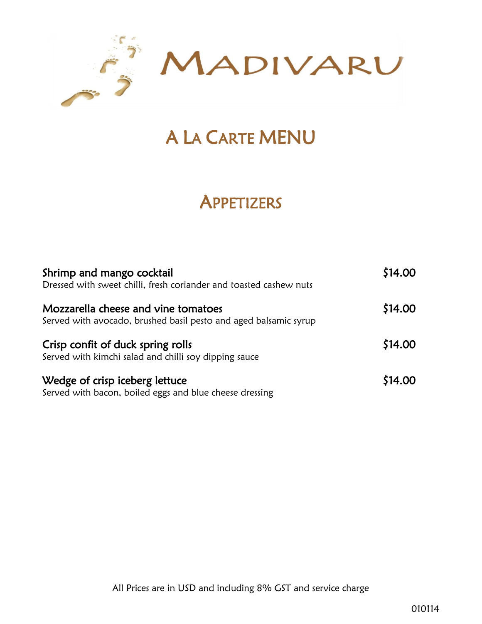

# A LA CARTE MENU

# **APPETIZERS**

| Shrimp and mango cocktail<br>Dressed with sweet chilli, fresh coriander and toasted cashew nuts         | \$14.00 |
|---------------------------------------------------------------------------------------------------------|---------|
| Mozzarella cheese and vine tomatoes<br>Served with avocado, brushed basil pesto and aged balsamic syrup | \$14.00 |
| Crisp confit of duck spring rolls<br>Served with kimchi salad and chilli soy dipping sauce              | \$14.00 |
| Wedge of crisp iceberg lettuce<br>Served with bacon, boiled eggs and blue cheese dressing               | \$14.00 |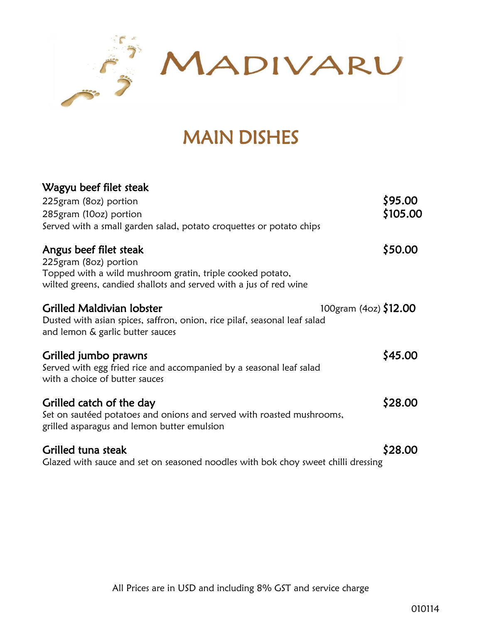

# MAIN DISHES

### Wagyu beef filet steak  $225$ gram (8oz) portion  $\zeta$ 95.00 285gram (10oz) portion  $\zeta$ 105.00 Served with a small garden salad, potato croquettes or potato chips Angus beef filet steak  $\zeta$  50.00 225gram (8oz) portion Topped with a wild mushroom gratin, triple cooked potato, wilted greens, candied shallots and served with a jus of red wine Grilled Maldivian lobster 100gram (40z) \$12.00 Dusted with asian spices, saffron, onion, rice pilaf, seasonal leaf salad and lemon & garlic butter sauces Grilled jumbo prawns **\$45.00** Served with egg fried rice and accompanied by a seasonal leaf salad with a choice of butter sauces Grilled catch of the day  $$28.00$ Set on sautéed potatoes and onions and served with roasted mushrooms, grilled asparagus and lemon butter emulsion Grilled tuna steak  $\sim$  \$28.00

Glazed with sauce and set on seasoned noodles with bok choy sweet chilli dressing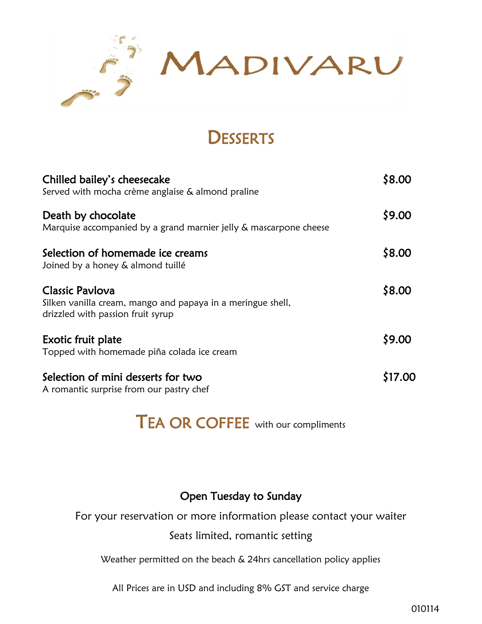

# **DESSERTS**

| Chilled bailey's cheesecake<br>Served with mocha crème anglaise & almond praline                                           | \$8.00  |
|----------------------------------------------------------------------------------------------------------------------------|---------|
| Death by chocolate<br>Marquise accompanied by a grand marnier jelly & mascarpone cheese                                    | \$9.00  |
| Selection of homemade ice creams<br>Joined by a honey & almond tuillé                                                      | \$8.00  |
| <b>Classic Pavlova</b><br>Silken vanilla cream, mango and papaya in a meringue shell,<br>drizzled with passion fruit syrup | \$8.00  |
| Exotic fruit plate<br>Topped with homemade piña colada ice cream                                                           | \$9.00  |
| Selection of mini desserts for two<br>A romantic surprise from our pastry chef                                             | \$17.00 |

# TEA OR COFFEE with our compliments

#### Open Tuesday to Sunday

For your reservation or more information please contact your waiter

#### Seats limited, romantic setting

Weather permitted on the beach & 24hrs cancellation policy applies

All Prices are in USD and including 8% GST and service charge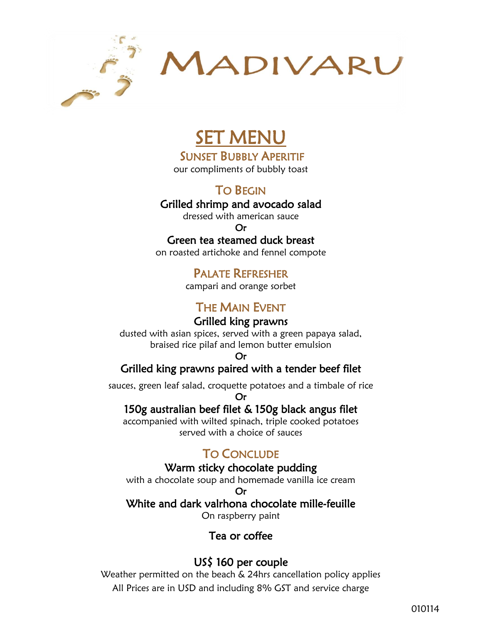

# SET MENU

SUNSET BUBBLY APERITIF

our compliments of bubbly toast

TO BEGIN

#### Grilled shrimp and avocado salad

dressed with american sauce

Or

#### Green tea steamed duck breast

on roasted artichoke and fennel compote

### PALATE REFRESHER

campari and orange sorbet

### THE MAIN EVENT

#### Grilled king prawns

dusted with asian spices, served with a green papaya salad, braised rice pilaf and lemon butter emulsion

Or

#### Grilled king prawns paired with a tender beef filet

sauces, green leaf salad, croquette potatoes and a timbale of rice Or

#### 150g australian beef filet & 150g black angus filet

accompanied with wilted spinach, triple cooked potatoes served with a choice of sauces

#### TO CONCLUDE

#### Warm sticky chocolate pudding

with a chocolate soup and homemade vanilla ice cream

Or

#### White and dark valrhona chocolate mille-feuille

On raspberry paint

#### Tea or coffee

#### US\$ 160 per couple

All Prices are in USD and including 8% GST and service charge Weather permitted on the beach & 24hrs cancellation policy applies